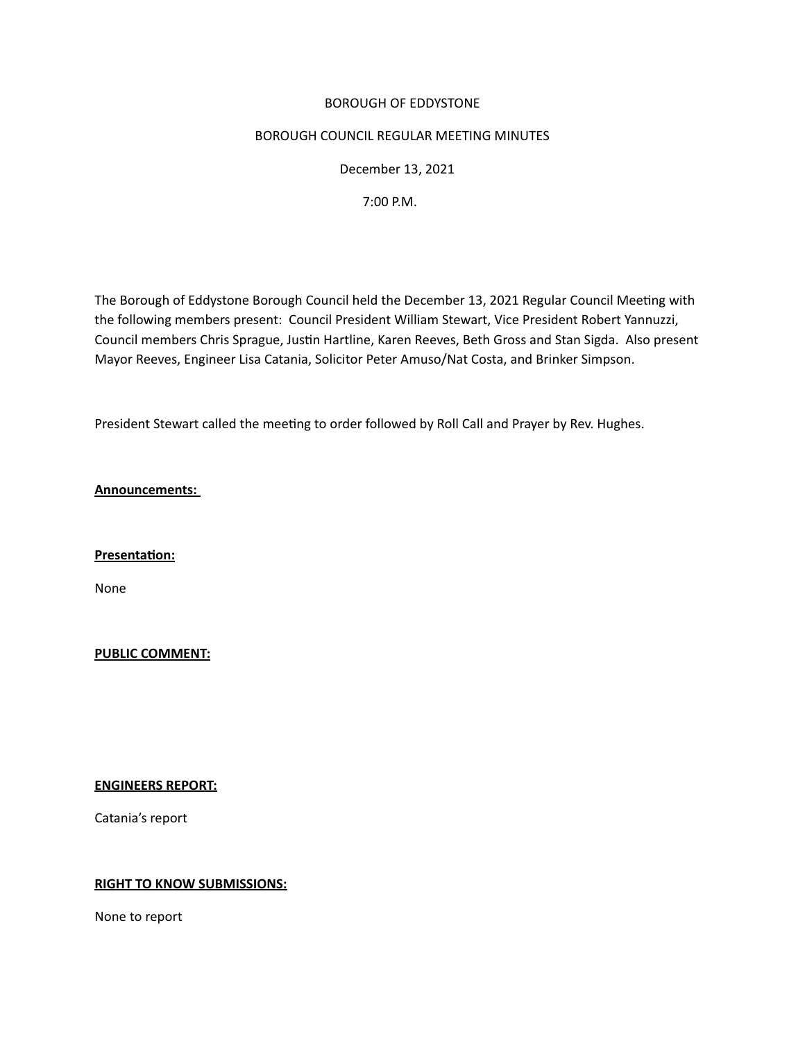## BOROUGH OF EDDYSTONE

## BOROUGH COUNCIL REGULAR MEETING MINUTES

 December 13, 2021

 7:00 P.M.

The Borough of Eddystone Borough Council held the December 13, 2021 Regular Council Meetng with the following members present: Council President William Stewart, Vice President Robert Yannuzzi, Council members Chris Sprague, Justin Hartline, Karen Reeves, Beth Gross and Stan Sigda. Also present Mayor Reeves, Engineer Lisa Catania, Solicitor Peter Amuso/Nat Costa, and Brinker Simpson. 

President Stewart called the meeting to order followed by Roll Call and Prayer by Rev. Hughes.

**Announcements:**

**Presentaton:** 

None

**PUBLIC COMMENT:** 

**ENGINEERS REPORT:**

Catania's report

# **RIGHT TO KNOW SUBMISSIONS:**

None to report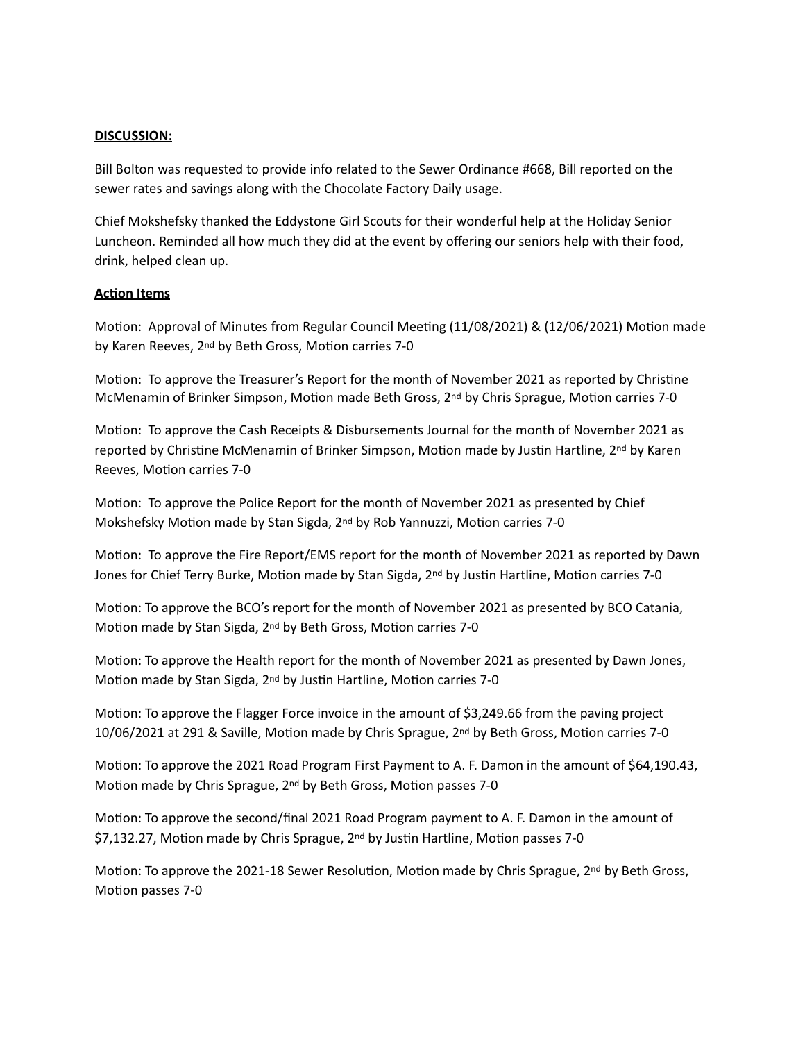## **DISCUSSION:**

Bill Bolton was requested to provide info related to the Sewer Ordinance #668, Bill reported on the sewer rates and savings along with the Chocolate Factory Daily usage.

Chief Mokshefsky thanked the Eddystone Girl Scouts for their wonderful help at the Holiday Senior Luncheon. Reminded all how much they did at the event by offering our seniors help with their food, drink, helped clean up.

## **Acton Items**

Motion: Approval of Minutes from Regular Council Meeting (11/08/2021) & (12/06/2021) Motion made by Karen Reeves, 2<sup>nd</sup> by Beth Gross, Motion carries 7-0

Motion: To approve the Treasurer's Report for the month of November 2021 as reported by Christine McMenamin of Brinker Simpson, Motion made Beth Gross, 2<sup>nd</sup> by Chris Sprague, Motion carries 7-0

Motion: To approve the Cash Receipts & Disbursements Journal for the month of November 2021 as reported by Christine McMenamin of Brinker Simpson, Motion made by Justin Hartline, 2<sup>nd</sup> by Karen Reeves, Motion carries 7-0

Motion: To approve the Police Report for the month of November 2021 as presented by Chief Mokshefsky Motion made by Stan Sigda, 2<sup>nd</sup> by Rob Yannuzzi, Motion carries 7-0

Motion: To approve the Fire Report/EMS report for the month of November 2021 as reported by Dawn Jones for Chief Terry Burke, Motion made by Stan Sigda, 2<sup>nd</sup> by Justin Hartline, Motion carries 7-0

Motion: To approve the BCO's report for the month of November 2021 as presented by BCO Catania, Motion made by Stan Sigda, 2<sup>nd</sup> by Beth Gross, Motion carries 7-0

Motion: To approve the Health report for the month of November 2021 as presented by Dawn Jones, Motion made by Stan Sigda, 2<sup>nd</sup> by Justin Hartline, Motion carries 7-0

Motion: To approve the Flagger Force invoice in the amount of \$3,249.66 from the paving project 10/06/2021 at 291 & Saville, Moton made by Chris Sprague, 2nd by Beth Gross, Moton carries 7-0

Motion: To approve the 2021 Road Program First Payment to A. F. Damon in the amount of \$64,190.43, Motion made by Chris Sprague,  $2<sup>nd</sup>$  by Beth Gross, Motion passes 7-0

Motion: To approve the second/final 2021 Road Program payment to A. F. Damon in the amount of \$7,132.27, Motion made by Chris Sprague, 2<sup>nd</sup> by Justin Hartline, Motion passes 7-0

Motion: To approve the 2021-18 Sewer Resolution, Motion made by Chris Sprague,  $2^{nd}$  by Beth Gross, Motion passes 7-0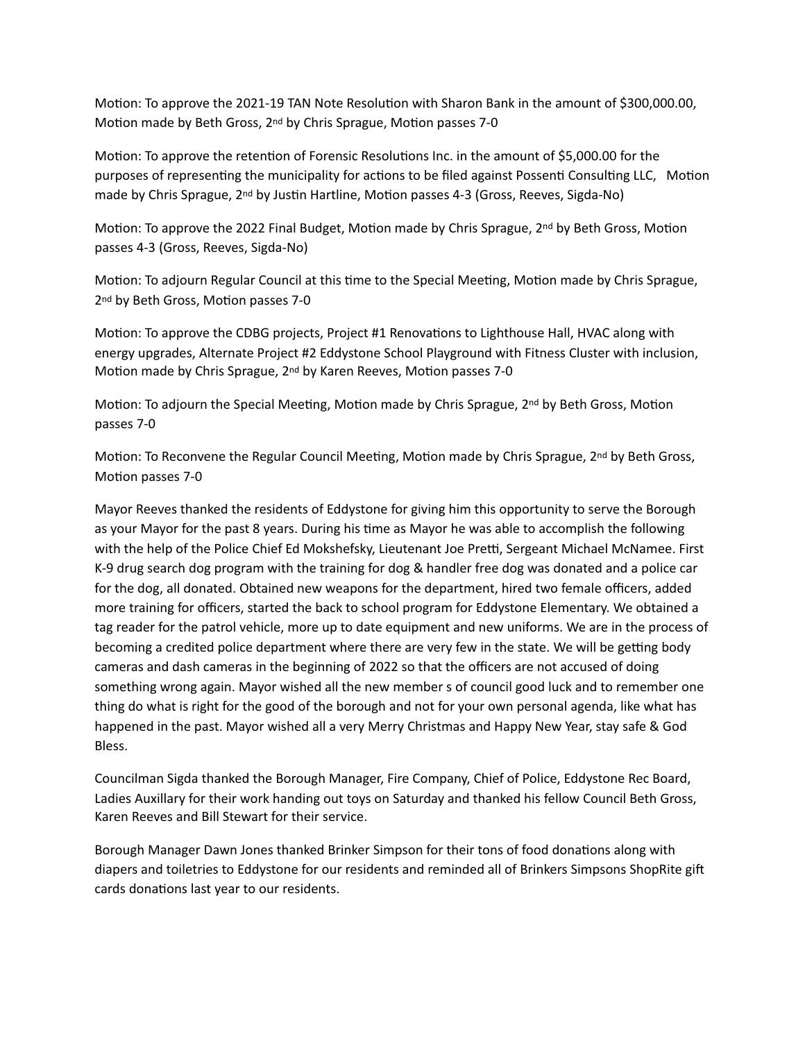Motion: To approve the 2021-19 TAN Note Resolution with Sharon Bank in the amount of \$300,000.00, Motion made by Beth Gross, 2<sup>nd</sup> by Chris Sprague, Motion passes 7-0

Motion: To approve the retention of Forensic Resolutions Inc. in the amount of \$5,000.00 for the purposes of representing the municipality for actions to be filed against Possenti Consulting LLC, Motion made by Chris Sprague, 2<sup>nd</sup> by Justin Hartline, Motion passes 4-3 (Gross, Reeves, Sigda-No)

Motion: To approve the 2022 Final Budget, Motion made by Chris Sprague,  $2<sup>nd</sup>$  by Beth Gross, Motion passes 4-3 (Gross, Reeves, Sigda-No)

Motion: To adjourn Regular Council at this time to the Special Meeting, Motion made by Chris Sprague, 2<sup>nd</sup> by Beth Gross, Motion passes 7-0

Motion: To approve the CDBG projects, Project #1 Renovations to Lighthouse Hall, HVAC along with energy upgrades, Alternate Project #2 Eddystone School Playground with Fitness Cluster with inclusion, Motion made by Chris Sprague,  $2<sup>nd</sup>$  by Karen Reeves, Motion passes 7-0

Motion: To adjourn the Special Meeting, Motion made by Chris Sprague,  $2<sup>nd</sup>$  by Beth Gross, Motion passes 7-0

Motion: To Reconvene the Regular Council Meeting, Motion made by Chris Sprague, 2<sup>nd</sup> by Beth Gross, Motion passes 7-0

Mayor Reeves thanked the residents of Eddystone for giving him this opportunity to serve the Borough as your Mayor for the past 8 years. During his time as Mayor he was able to accomplish the following with the help of the Police Chief Ed Mokshefsky, Lieutenant Joe Pretti, Sergeant Michael McNamee. First K-9 drug search dog program with the training for dog & handler free dog was donated and a police car for the dog, all donated. Obtained new weapons for the department, hired two female officers, added more training for officers, started the back to school program for Eddystone Elementary. We obtained a tag reader for the patrol vehicle, more up to date equipment and new uniforms. We are in the process of becoming a credited police department where there are very few in the state. We will be getting body cameras and dash cameras in the beginning of 2022 so that the officers are not accused of doing something wrong again. Mayor wished all the new member s of council good luck and to remember one thing do what is right for the good of the borough and not for your own personal agenda, like what has happened in the past. Mayor wished all a very Merry Christmas and Happy New Year, stay safe & God Bless.

Councilman Sigda thanked the Borough Manager, Fire Company, Chief of Police, Eddystone Rec Board, Ladies Auxillary for their work handing out toys on Saturday and thanked his fellow Council Beth Gross, Karen Reeves and Bill Stewart for their service.

Borough Manager Dawn Jones thanked Brinker Simpson for their tons of food donations along with diapers and toiletries to Eddystone for our residents and reminded all of Brinkers Simpsons ShopRite gif cards donations last year to our residents.